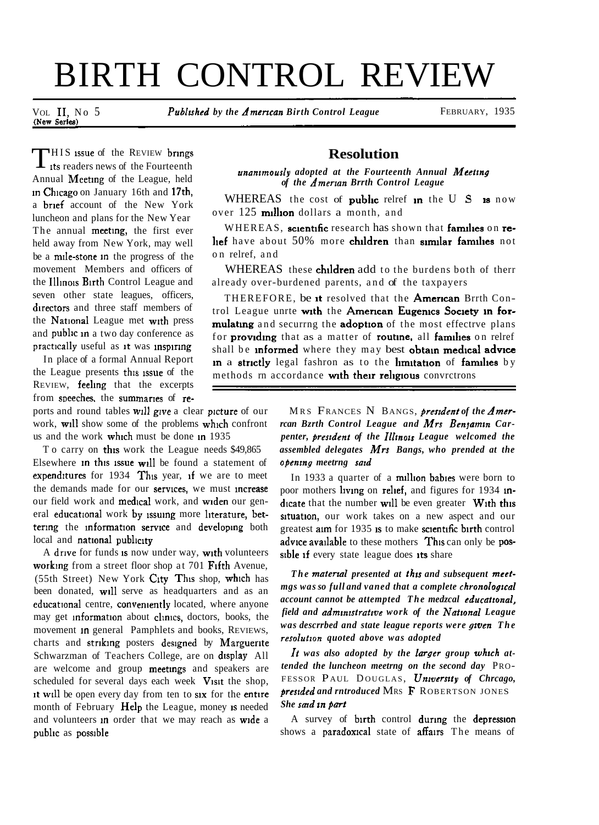# BIRTH CONTROL REVIEW

VOL II, No 5 *Published by the American Birth Control League* FEBRUARY, 1935

THIS issue of the REVIEW brings<br>its readers news of the Fourteenth Annual Meetmg of the League, held In Chicago on January 16th and 17th, a brief account of the New York luncheon and plans for the New Year The annual meeting, the first ever held away from New York, may well be a mile-stone in the progress of the movement Members and officers of the Illinois Birth Control League and seven other state leagues, officers, directors and three staff members of the National League met with press and public in a two day conference as practically useful as it was inspiring

In place of a formal Annual Report the League presents this issue of the REVIEW, **feeling** that the excerpts from speeches, the summaries of re-

ports and round tables will give a clear picture of our work, will show some of the problems which confront us and the work which must be done in 1935

To carry on this work the League needs \$49,865 Elsewhere  $in$  this issue will be found a statement of expenditures for  $1934$  This year, if we are to meet the demands made for our services, we must increase our field work and medical work, and widen our general educational work by issuing more literature, bettering the information service and developing both local and national publicity

A drive for funds is now under way, with volunteers working from a street floor shop at 701 Fifth Avenue,  $(55th Street)$  New York City This shop, which has been donated, will serve as headquarters and as an educational centre, conveniently located, where anyone may get information about clinics, doctors, books, the movement In general Pamphlets and books, REVIEWS, charts and striking posters designed by Marguerite Schwarzman of Teachers College, are on display All are welcome and group meetings and speakers are scheduled for several days each week  $V$  is t the shop, it will be open every day from ten to six for the entire month of February Help the League, money is needed and volunteers in order that we may reach as wide a public as possible

## **Resolution**

*unantmously adopted at the Fourteenth Annual Mcettng of the Amenan Brrth Control League* 

WHEREAS the cost of **public** relref in the U S is now over  $125$  million dollars a month, and

WHEREAS, scientific research has shown that families on rehef have about 50% more children than similar families not on relref, and

WHEREAS these children add to the burdens both of therr already over-burdened parents, and of the taxpayers

THEREFORE, be it resolved that the American Brrth Control League unrte with the American Eugenics Society in formulating and securrng the adoption of the most effectrve plans for providing that as a matter of routine, all families on relref shall be informed where they may best obtain medical advice in a strictly legal fashron as to the limitation of families by methods rn accordance with their religious convrctrons

> M RS FRANCES N BANGS, *preszdent of the Amerrcan Bzrth Control League and Mrs Benyamin Carpenter, president of the Illinois League welcomed the assembled delegates Mrs Bangs, who prended at the openrng meetrng surd*

> In 1933 a quarter of a million babies were born to poor mothers living on relief, and figures for 1934 indicate that the number will be even greater  $W$ <sup>th</sup> this situation, our work takes on a new aspect and our greatest aim for 1935 is to make scientific birth control advice available to these mothers This can only be possible if every state league does its share

> The material presented at this and subsequent meet*mgs was so full and vaned that a complete chronologtcal account cannot be attempted The medzcal educatronal, field and admrnzstratzve work of the Natronal League was descrrbed and state league reports were gzven The resolutzon quoted above was adopted*

> *It was also adopted by the larger group whrch attended the luncheon meetrng on the second day* PRO-FESSOR PAUL DOUGLAS, *University of Chreago*, *presrded and rntroduced* MRS **F** R OBERTSON JONES *She sad rn part*

> A survey of birth control during the depression shows a paradoxical state of affairs The means of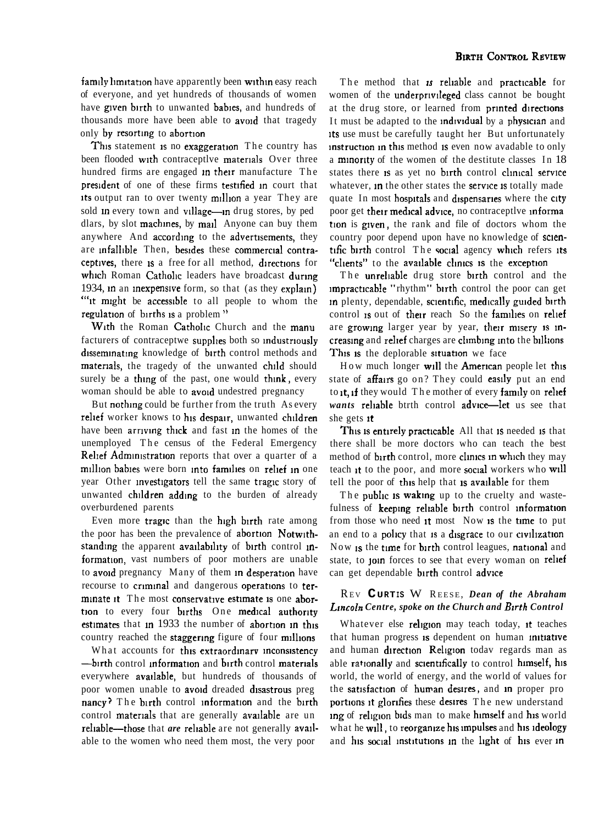family limitation have apparently been within easy reach of everyone, and yet hundreds of thousands of women have given birth to unwanted babies, and hundreds of thousands more have been able to **avoid** that tragedy only by resorting to abortion

This statement is no exaggeration The country has been flooded with contraceptlye materials Over three hundred firms are engaged in their manufacture The president of one of these firms testified in court that its output ran to over twenty million a year They are sold in every town and village—in drug stores, by ped dlars, by slot machines, by mail Anyone can buy them anywhere And according to the advertisements, they are infallible Then, besides these commercial contraceptives, there is a free for all method, directions for which Roman Catholic leaders have broadcast during 1934, In an Inexpenswe form, so that (as they explam) ""it might be accessible to all people to whom the regulation of births is a problem"

With the Roman Catholic Church and the manu facturers of contraceptwe supplies both so industriously disseminating knowledge of birth control methods and materials, the tragedy of the unwanted child should surely be a thing of the past, one would think, every woman should be able to avoid undestred pregnancy

But nothmg could be further from the truth As every relief worker knows to his despair, unwanted children have been arriving thick and fast in the homes of the unemployed The census of the Federal Emergency Relief Administration reports that over a quarter of a million babies were born into families on relief in one year Other investigators tell the same tragic story of unwanted children adding to the burden of already overburdened parents

Even more tragic than the high birth rate among the poor has been the prevalence of abortion Notwithstanding the apparent availability of birth control information, vast numbers of poor mothers are unable to avoid pregnancy Many of them in desperation have recourse to criminal and dangerous operations to terminate it The most conservative estimate is one abortion to every four births One medical authority estimates that in  $1933$  the number of abortion in this country reached the staggering figure of four millions

What accounts for this extraordinary inconsistency -burth control information and birth control materials everywhere **available**, but hundreds of thousands of poor women unable to avoid dreaded disastrous preg nancy? The birth control information and the birth control materials that are generally available are un reliable-those that *are* reliable are not generally available to the women who need them most, the very poor

The method that **1s reliable** and practicable for women of the underprivileged class cannot be bought at the drug store, or learned from printed directions It must be adapted to the individual by a physician and its use must be carefully taught her But unfortunately instruction in this method is even now avadable to only a **minority** of the women of the destitute classes In 18 states there is as yet no birth control clinical service whatever, in the other states the service is totally made quate In most hospitals and dispensaries where the city poor get their medical advice, no contraceptlye informa tion is given, the rank and file of doctors whom the country poor depend upon have no knowledge of sclentific birth control The social agency which refers its "clients" to the available clinics is the exception

The unreliable drug store birth control and the impracticable "rhythm" birth control the poor can get in plenty, dependable, scientific, medically guided birth control is out of their reach So the families on relief are growing larger year by year, their misery is increasing and relief charges are climbing into the billions This is the deplorable situation we face

How much longer will the American people let this state of **affairs** go on? They could easily put an end to it, if they would The mother of every family on relief *wants* reliable btrth control advice-let us see that she gets  $<sub>it</sub>$ </sub>

This is entirely practicable All that is needed is that there shall be more doctors who can teach the best method of  $b$ urth control, more clinics in which they may teach it to the poor, and more social workers who will tell the poor of this help that is available for them

The public is waking up to the cruelty and wastefulness of keeping reliable birth control information from those who need it most Now is the time to put an end to a policy that is a disgrace to our civilization Now is the time for birth control leagues, national and state, to join forces to see that every woman on relief can get dependable birth control advice

## RE <sup>V</sup>**CURTIS** W REESE, *Dean of the Abraham Lzncoln Centre, spoke on the Church and Bzrth Control*

Whatever else religion may teach today, it teaches that human progress is dependent on human initiative and human direction Religion todav regards man as able rationally and scientifically to control himself, his world, the world of energy, and the world of values for the satisfaction of human desires, and in proper pro portions it glorifies these desires The new understand ing of religion bids man to make himself and his world what he will, to reorganize his impulses and his ideology and his social institutions in the light of his ever in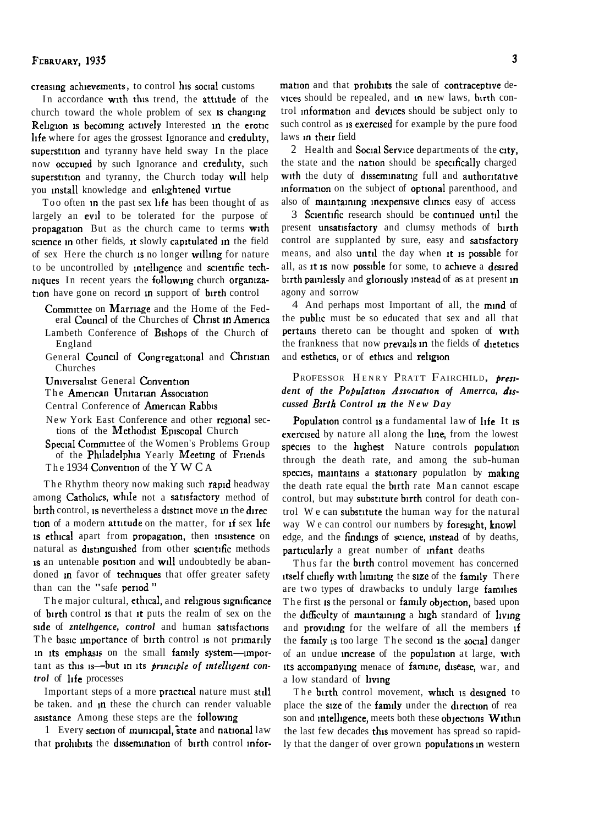creasing achievements, to control his social customs

In accordance with this trend, the attitude of the church toward the whole problem of sex is changing Religion is becoming actively Interested in the erotic life where for ages the grossest Ignorance and credulity, superstition and tyranny have held sway In the place now occupied by such Ignorance and credulity, such superstition and tyranny, the Church today will help you install knowledge and enlightened virtue

Too often in the past sex life has been thought of as largely an evil to be tolerated for the purpose of propagation But as the church came to terms with science in other fields, it slowly capitulated in the field of sex Here the church is no longer willing for nature to be uncontrolled by intelligence and scientific techniques In recent years the following church organization have gone on record in support of birth control

Committee on Marriage and the Home of the Fed-

- eral Council of the Churches of Christ in America Lambeth Conference of Bishops of the Church of England
- General Council of Congregational and Christian Churches

Universalist General Convention

- The American Unitarian Association
- Central Conference of American Rabbis
- New York East Conference and other regional sections of the Methodist Episcopal Church
- Special Committee of the Women's Problems Group of the Philadelphia Yearly Meeting of Friends The 1934 Convention of the Y W C A

The Rhythm theory now making such rapid headway among Catholics, while not a satisfactory method of birth control, is nevertheless a distinct move in the direction of a modern attitude on the matter, for if sex life is ethical apart from propagation, then insistence on natural as distinguished from other scientific methods is an untenable position and will undoubtedly be abandoned in favor of techniques that offer greater safety than can the "safe period"

The major cultural, ethical, and religious significance of birth control is that it puts the realm of sex on the side of *zntelhgence*, *control* and human satisfactions The basic importance of birth control is not primarily in its emphasis on the small family system-important as this is--but in its principle of intelligent control of life processes

Important steps of a more practical nature must still be taken, and in these the church can render valuable asistance Among these steps are the following

1 Every section of municipal, state and national law that prohibits the dissemination of birth control information and that prohibits the sale of contraceptive devices should be repealed, and in new laws, birth control information and devices should be subject only to such control as is exercised for example by the pure food laws in their field

2 Health and Social Service departments of the city, the state and the nation should be specifically charged with the duty of disseminating full and authoritative information on the subject of optional parenthood, and also of maintaining inexpensive clinics easy of access

3 Scientific research should be continued until the present unsatisfactory and clumsy methods of birth control are supplanted by sure, easy and satisfactory means, and also until the day when it is possible for all, as it is now possible for some, to achieve a desired birth painlessly and gloriously instead of as at present in agony and sorrow

4 And perhaps most Important of all, the mind of the **public** must be so educated that sex and all that pertains thereto can be thought and spoken of with the frankness that now prevails in the fields of dietetics and esthetics, or of ethics and religion

## PROFESSOR HENRY PRATT FAIRCHILD, president of the Population Association of Amerrca, discussed Birth Control in the New Day

Population control is a fundamental law of life It is exercised by nature all along the line, from the lowest species to the highest Nature controls population through the death rate, and among the sub-human species, maintains a stationary population by making the death rate equal the birth rate Man cannot escape control, but may substitute birth control for death control We can substitute the human way for the natural way We can control our numbers by foresight, knowl edge, and the findings of science, instead of by deaths, particularly a great number of infant deaths

Thus far the **birth** control movement has concerned itself chiefly with limiting the size of the family There are two types of drawbacks to unduly large families The first is the personal or **family objection**, based upon the difficulty of maintaining a high standard of living and providing for the welfare of all the members if the family is too large The second is the social danger of an undue **increase** of the **population** at large, with its accompanying menace of famine, disease, war, and a low standard of living

The birth control movement, which is designed to place the size of the family under the direction of rea son and intelligence, meets both these objections Within the last few decades this movement has spread so rapidly that the danger of over grown populations in western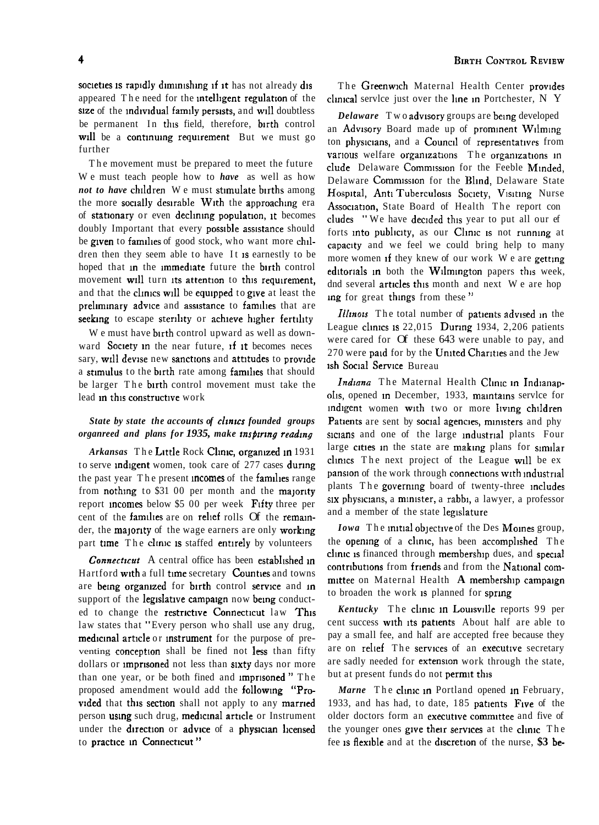societies is rapidly diminishing if it has not already dis appeared The need for the intelligent regulation of the size of the individual family persists, and will doubtless be permanent In this field, therefore, birth control will be a continuing requirement But we must go further

The movement must be prepared to meet the future We must teach people how to *have* as well as how *not to have* children We must stimulate births among the more socially desirable With the approaching era of stationary or even declining population, it becomes doubly Important that every possible assistance should be given to families of good stock, who want more children then they seem able to have It is earnestly to be hoped that in the immediate future the birth control movement will turn its attention to this requirement, and that the clinics will be equipped to give at least the preliminary advice and assistance to families that are seeking to escape sterility or achieve higher fertility

We must have birth control upward as well as downward Society in the near future, if it becomes neces sary, will devise new sanctions and attitudes to provide a stimulus to the birth rate among families that should be larger The birth control movement must take the lead in this constructive work

### State by state the accounts of clinics founded groups *organreed and plans for 1935, make rnspznng readmg*

Arkansas The Little Rock Clinic, organized in 1931 to serve *indigent* women, took care of 277 cases during the past year The present **incomes** of the **families** range from nothing to  $$31$  00 per month and the majority report incomes below  $$500$  per week Fifty three per cent of the families are on relief rolls Of the remainder, the **majority** of the wage earners are only working part time The clinic is staffed entirely by volunteers

*Connecticut* A central office has been established in Hartford with a full time secretary Counties and towns are being organized for birth control service and in support of the legislative campaign now being conducted to change the restrictive Connecticut law This law states that "Every person who shall use any drug, medicinal article or instrument for the purpose of preventing conception shall be fined not less than fifty dollars or *imprisoned* not less than sixty days nor more than one year, or be both fined and **imprisoned**" The proposed amendment would add the followmg "Provided that this section shall not apply to any married person using such drug, medicinal article or Instrument under the direction or advice of a physician licensed to practice in Connecticut"

The Greenwich Maternal Health Center provides clinical servlce just over the line in Portchester,  $N$   $Y$ 

*Delaware* Two advisory groups are being developed an Advisory Board made up of prominent Wilming ton physicians, and a Council of representatives from various welfare organizations The organizations in clude Delaware Commission for the Feeble Minded, Delaware Commission for the Blind, Delaware State Hospital, Anti Tuberculosis Society, Visiting Nurse Association, State Board of Health The report con cludes "We have decided this year to put all our ef forts into publicity, as our Clinic is not running at capacity and we feel we could bring help to many more women if they knew of our work  $W$  e are getting editorials in both the Wilmington papers this week, dnd several articles this month and next We are hop mg for great thmgs from these "

*Illinois* The total number of patients advised in the League clinics is  $22,015$  During 1934, 2,206 patients were cared for Of these 643 were unable to pay, and  $270$  were paid for by the United Charities and the Jew 1sh Soc1al Service Bureau

Indiana The Maternal Health Clinic in Indianapolis, opened in December, 1933, maintains servlee for indigent women with two or more living children Patients are sent by social agencies, ministers and phy sicians and one of the large industrial plants Four large cities in the state are making plans for similar clinics The next project of the League will be  $ex$ pansion of the work through connections with industrial plants The governing board of twenty-three includes six physicians, a minister, a rabbi, a lawyer, a professor and a member of the state legislature

*Iowa* The initial objective of the Des Moines group, the opening of a clinic, has been accomplished The clinic is financed through membership dues, and special contributions from friends and from the National committee on Maternal Health **A** membership campaign to broaden the work is planned for spring

*Kentucky* The clinic in Louisville reports 99 per cent success with its patients About half are able to pay a small fee, and half are accepted free because they are on relief The services of an executive secretary are sadly needed for extension work through the state, but at present funds do not permit this

*Marne* The clinic in Portland opened in February, 1933, and has had, to date, 185 patients Five of the older doctors form an executlve committee and five of the younger ones give their services at the clinic The fee is flexible and at the discretion of the nurse, \$3 be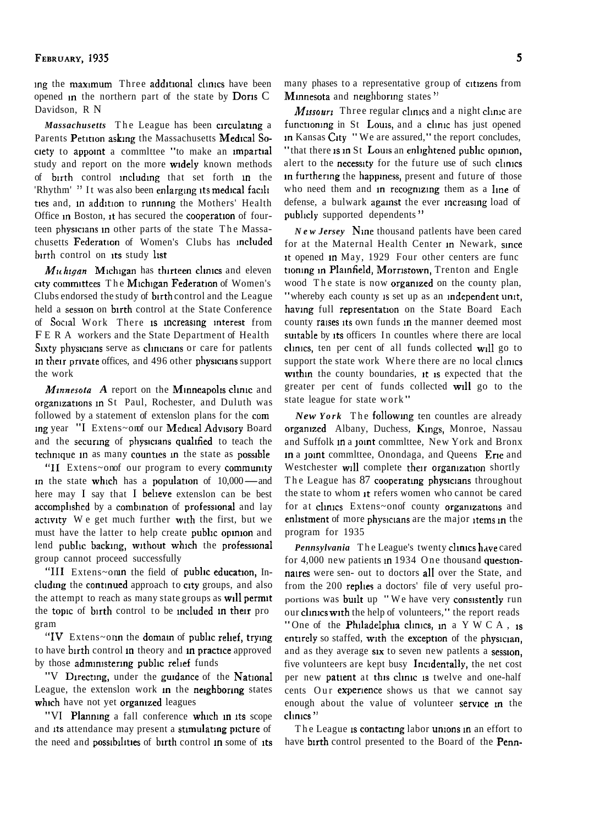ing the maximum Three additional clinics have been opened in the northern part of the state by Doris C Davidson, R N

Massachusetts The League has been circulating a Parents Petition asking the Massachusetts Medical Society to appoint a committee "to make an impartial study and report on the more widely known methods of birth control including that set forth in the 'Rhythm' " It was also been enlarging its medical facili ties and, in addition to running the Mothers' Health Office in Boston, it has secured the cooperation of fourteen physicians in other parts of the state The Massachusetts Federation of Women's Clubs has included birth control on its study list

 $Muhigan$  Michigan has thirteen clinics and eleven city committees The Michigan Federation of Women's Clubs endorsed the study of birth control and the League held a session on birth control at the State Conference of Social Work There is increasing interest from FERA workers and the State Department of Health Sixty physicians serve as clinicians or care for patients in their private offices, and 496 other physicians support the work

Minnesota A report on the Minneapolis clinic and organizations in St Paul, Rochester, and Duluth was followed by a statement of extension plans for the com ing year "I Extens~omf our Medical Advisory Board and the securing of physicians qualified to teach the technique in as many counties in the state as possible

"II Extens~onof our program to every community in the state which has a population of 10,000-and here may I say that I believe extension can be best accomplished by a combination of professional and lay activity We get much further with the first, but we must have the latter to help create public opinion and lend public backing, without which the professional group cannot proceed successfully

"III Extens~onin the field of public education, Including the continued approach to city groups, and also the attempt to reach as many state groups as will permit the topic of birth control to be included in their pro gram

"IV Extens~onn the domain of public relief, trying to have birth control in theory and in practice approved by those administering public relief funds

"V Directing, under the guidance of the National League, the extension work in the neighboring states which have not yet organized leagues

"VI Planning a fall conference which in its scope and its attendance may present a stimulating picture of the need and possibilities of birth control in some of its many phases to a representative group of citizens from Minnesota and neighboring states"

Missouri Three regular clinics and a night clinic are functioning in St Louis, and a clinic has just opened in Kansas City "We are assured," the report concludes, "that there is in St Louis an enlightened public opinion, alert to the necessity for the future use of such clinics in furthering the happiness, present and future of those who need them and in recognizing them as a line of defense, a bulwark against the ever increasing load of publicly supported dependents"

*New Jersey* Nine thousand patients have been cared for at the Maternal Health Center in Newark, since it opened in May, 1929 Four other centers are func tioning in Plainfield, Morristown, Trenton and Engle wood The state is now **organized** on the county plan, "whereby each county is set up as an independent unit, having full representation on the State Board Each county raises its own funds in the manner deemed most suitable by its officers In countles where there are local clinics, ten per cent of all funds collected will go to support the state work Where there are no local clinics within the county boundaries, it is expected that the greater per cent of funds collected will go to the state league for state work"

**New York** The following ten countles are already organized Albany, Duchess, Kings, Monroe, Nassau and Suffolk in a joint committee, New York and Bronx in a joint committee, Onondaga, and Queens Erie and Westchester will complete their organization shortly The League has 87 cooperating physicians throughout the state to whom it refers women who cannot be cared for at clinics Extens~onof county organizations and enlistment of more physicians are the major items in the program for 1935

Pennsylvania The League's twenty clinics have cared for 4,000 new patients in 1934 One thousand questionnaires were sen- out to doctors all over the State, and from the 200 replies a doctors' file of very useful proportions was built up "We have very consistently run our clinics with the help of volunteers," the report reads "One of the Philadelphia clinics, in a Y W C A, is entirely so staffed, with the exception of the physician. and as they average six to seven new patients a session, five volunteers are kept busy Incidentally, the net cost per new patient at this clinic is twelve and one-half cents Our experience shows us that we cannot say enough about the value of volunteer service in the clinics"

The League is contacting labor unions in an effort to have birth control presented to the Board of the Penn-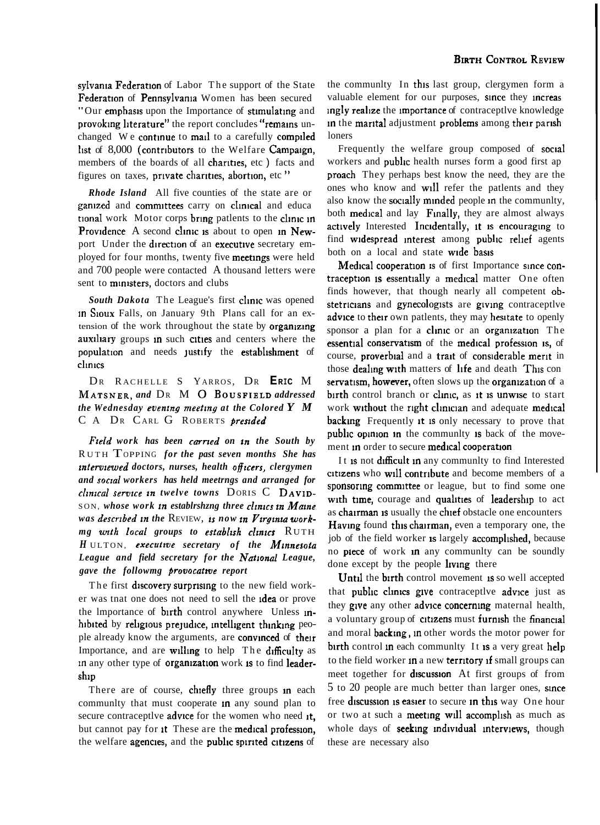sylvania Federation of Labor The support of the State Federation of Pennsylvania Women has been secured "Our emphasis upon the Importance of stimulating and provoking literature" the report concludes "remains unchanged We continue to mail to a carefully compiled list of 8,000 (contributors to the Welfare Campaign, members of the boards of all charities, etc) facts and figures on taxes, private charities, abortion, etc"

**Rhode Island** All five counties of the state are or ganized and committees carry on clinical and educa tional work Motor corps bring patlents to the clinic in Providence A second clinic is about to open in Newport Under the direction of an executive secretary employed for four months, twenty five meetings were held and 700 people were contacted A thousand letters were sent to ministers, doctors and clubs

South Dakota The League's first clinic was opened **in Sioux** Falls, on January 9th Plans call for an extension of the work throughout the state by organizing auxiliary groups in such cities and centers where the population and needs justify the establishment of clinics

DR RACHELLE S YARROS, DR ERIC M MATSNER, and DR M O BOUSFIELD addressed the Wednesday evening meeting at the Colored  $Y$   $M$ C A DR CARL G ROBERTS presided

Field work has been carried on in the South by RUTH TOPPING for the past seven months She has interviewed doctors, nurses, health officers, clergymen and social workers has held meetrngs and arranged for clinical service in twelve towns DORIS C DAVID-SON, whose work in establrshing three clinics in Maine was described in the REVIEW, is now in Virginia workmg with local groups to establish clinics RUTH HULTON, executive secretary of the Minnesota League and field secretary for the National League, gave the followmg provocative report

The first discovery surprising to the new field worker was tnat one does not need to sell the **idea** or prove the Importance of birth control anywhere Unless inhibited by religious prejudice, intelligent thinking people already know the arguments, are convinced of their Importance, and are willing to help The difficulty as in any other type of organization work is to find leadership

There are of course, chiefly three groups in each community that must cooperate in any sound plan to secure contraceptive advice for the women who need it, but cannot pay for it These are the medical profession, the welfare agencies, and the public spirited citizens of the community In this last group, clergymen form a valuable element for our purposes, since they increas ingly realize the importance of contraceptive knowledge in the marital adjustment problems among their parish loners

Frequently the welfare group composed of social workers and **public** health nurses form a good first ap proach They perhaps best know the need, they are the ones who know and will refer the patients and they also know the **socially minded** people in the community, both medical and lay Finally, they are almost always actively Interested Incidentally, it is encouraging to find widespread interest among public relief agents both on a local and state wide basis

Medical cooperation is of first Importance since contraception is essentially a medical matter One often finds however, that though nearly all competent obstetricians and gynecologists are giving contraceptive advice to their own patlents, they may hesitate to openly sponsor a plan for a clinic or an organization The essential conservatism of the medical profession is, of course, proverbial and a trait of considerable merit in those **dealing with** matters of life and death This con servatism, however, often slows up the organization of a birth control branch or clinic, as it is unwise to start work without the right clinician and adequate medical **backing** Frequently it is only necessary to prove that public opinion in the community is back of the movement in order to secure medical cooperation

It is not difficult in any community to find Interested citizens who will contribute and become members of a sponsoring committee or league, but to find some one with time, courage and qualities of leadership to act as chairman is usually the chief obstacle one encounters **Having** found this chairman, even a temporary one, the job of the field worker is largely accomplished, because no piece of work in any community can be soundly done except by the people living there

Until the birth control movement is so well accepted that public clinics give contraceptlye advice just as they give any other advice concerning maternal health, a voluntary group of citizens must furnish the financial and moral **backing**, in other words the motor power for birth control in each community It is a very great help to the field worker in a new territory if small groups can meet together for discussion At first groups of from 5 to 20 people are much better than larger ones, since free **discussion** is easier to secure in this way One hour or two at such a meeting will accomplish as much as whole days of seeking individual interviews, though these are necessary also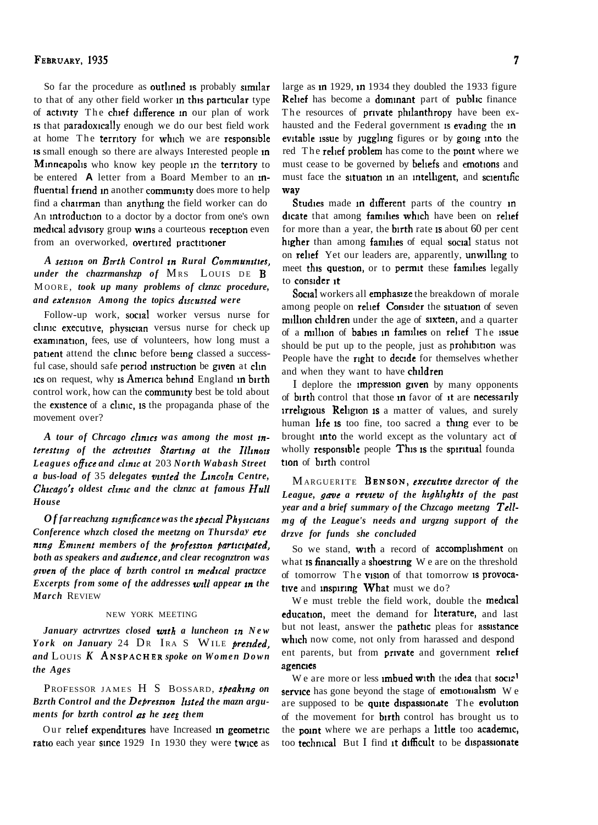#### FEBRUARY, 1935

So far the procedure as outlined is probably similar to that of any other field worker in this particular type of activity The chief difference in our plan of work is that paradoxically enough we do our best field work at home The territory for which we are responsible Is small enough so there are always Interested people in Mmneapol~s who know key people **m** the terrltory to be entered **A** letter from a Board Member to an influential friend in another community does more to help find a chairman than anything the field worker can do An introduction to a doctor by a doctor from one's own medical advisory group wins a courteous reception even from an overworked, overtired practitioner

*A sesszon on Bm-th Control zn Rural Communztzes, under the chazrmanshzp of MRS LOUIS DE B* M OORE , *took up many problems of clznzc procedure, and extensron Among the topics drscussed were* 

Follow-up work, social worker versus nurse for clinic executive, physician versus nurse for check up examination, fees, use of volunteers, how long must a patient attend the clinic before being classed a successful case, should safe period instruction be given at clin ICS on request, why is America behind England in birth control work, how can the community best be told about the existence of a clinic, is the propaganda phase of the movement over?

A tour of Chrcago clinics was among the most in*teresting of the activities Starting at the Illinois Leagues office and clmzc at* 203 *North Wabash Street a bus-load of* 35 *delegates vzszted the Lrncoln Centre, Chicago's oldest clinic and the clznzc at famous Hull House* 

*Of far reachzng szgnzficance was the speczal Physzczans Conference whzch closed the meetzng on Thursday eve*   $n$ *nng Eminent members of the profession participated, both as speakers and audzence, and clear recognztron was gzven of the place of bzrth control* **m** *medzcal practzce Excerpts from some of the addresses wrll appear in the March* REVIEW

#### NEW YORK MEETING

*January actrvrtzes closed wtth a luncheon* **m** *New York on January* 24 DR IRA S WILE *preszded, and* L OUIS *K* ANSPACHER *spoke on Women Down the Ages* 

## PROFESSOR JAMES H S BOSSARD, *speaking on Bzrth Control and the Depresnon Izsted the mazn arguments for bzrth control* **as** *he sees them*

Our relief expenditures have Increased in geometric ratio each year since 1929 In 1930 they were twice as

large as  $\text{in } 1929$ ,  $\text{in } 1934$  they doubled the 1933 figure Relief has become a dominant part of public finance The resources of private philanthropy have been exhausted and the Federal government is evading the in evitable issue by juggling figures or by going into the red The relief problem has come to the point where we must cease to be governed by beliefs and emotions and must face the situation in an intelligent, and scientific way

Studies made in different parts of the country in dicate that among families which have been on relief for more than a year, the **birth** rate is about  $60$  per cent higher than among families of equal social status not on **relief** Yet our leaders are, apparently, unwilling to meet this question, or to permit these families legally to consider it

Social workers all emphasize the breakdown of morale among people on relief Consider the situation of seven million children under the age of sixteen, and a quarter of a million of babies in families on relief The issue should be put up to the people, just as prohibition was People have the right to decide for themselves whether and when they want to have children

I deplore the **impression given** by many opponents of birth control that those in favor of it are necessarily **irreligious Religion is a matter of values, and surely** human life is too fine, too sacred a thing ever to be brought lnto the world except as the voluntary act of wholly responsible people This is the spiritual founda tion of birth control

MARGUERITE BENSON, *executzve dzrector of the*  League, gave a review of the highlights of the past *year and a brief summary of the Chzcago meetzng Tellmg of the League's needs and urgzng support of the drzve for funds she concluded* 

So we stand, with a record of accomplishment on what is financially a shoestring We are on the threshold of tomorrow The vision of that tomorrow is provocative and inspiring What must we do?

We must treble the field work, double the **medical** education, meet the demand for literature, and last but not least, answer the **pathetic** pleas for **assistance** which now come, not only from harassed and despond ent parents, but from **private** and government **relief** agencies

We are more or less imbued with the idea that social service has gone beyond the stage of emotionalism  $We$ are supposed to be quite dispassionate The evolution of the movement for **birth** control has brought us to the point where we are perhaps a little too academic, too technical But I find it difficult to be dispassionate